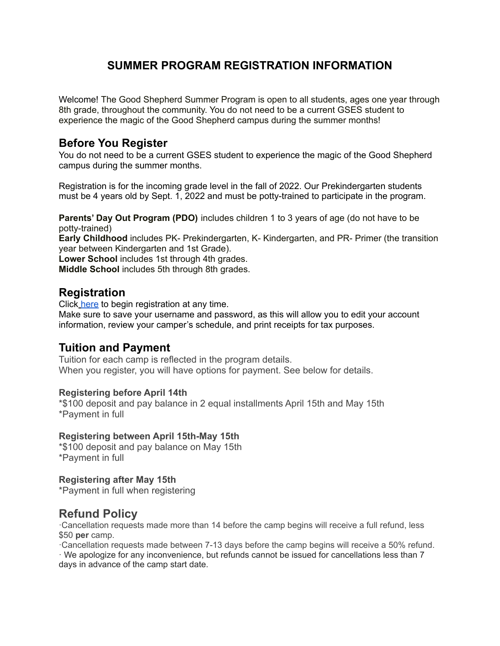# **SUMMER PROGRAM REGISTRATION INFORMATION**

Welcome! The Good Shepherd Summer Program is open to all students, ages one year through 8th grade, throughout the community. You do not need to be a current GSES student to experience the magic of the Good Shepherd campus during the summer months!

### **Before You Register**

You do not need to be a current GSES student to experience the magic of the Good Shepherd campus during the summer months.

Registration is for the incoming grade level in the fall of 2022. Our Prekindergarten students must be 4 years old by Sept. 1, 2022 and must be potty-trained to participate in the program.

**Parents' Day Out Program (PDO)** includes children 1 to 3 years of age (do not have to be potty-trained)

**Early Childhood** includes PK- Prekindergarten, K- Kindergarten, and PR- Primer (the transition year between Kindergarten and 1st Grade).

**Lower School** includes 1st through 4th grades.

**Middle School** includes 5th through 8th grades.

#### **Registration**

Click [here](https://gsesdallas.campbrainregistration.com/Home/Landing) to begin registration at any time.

Make sure to save your username and password, as this will allow you to edit your account information, review your camper's schedule, and print receipts for tax purposes.

#### **Tuition and Payment**

Tuition for each camp is reflected in the program details. When you register, you will have options for payment. See below for details.

#### **Registering before April 14th**

\*\$100 deposit and pay balance in 2 equal installments April 15th and May 15th \*Payment in full

#### **Registering between April 15th-May 15th**

\*\$100 deposit and pay balance on May 15th \*Payment in full

#### **Registering after May 15th**

\*Payment in full when registering

### **Refund Policy**

·Cancellation requests made more than 14 before the camp begins will receive a full refund, less \$50 **per** camp.

·Cancellation requests made between 7-13 days before the camp begins will receive a 50% refund.

· We apologize for any inconvenience, but refunds cannot be issued for cancellations less than 7 days in advance of the camp start date.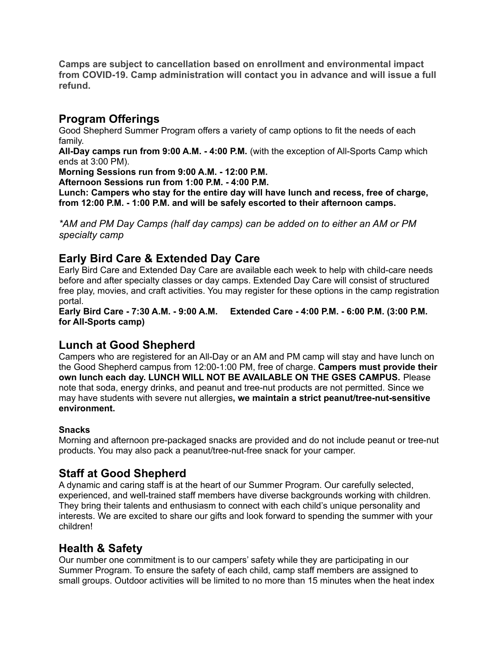**Camps are subject to cancellation based on enrollment and environmental impact from COVID-19. Camp administration will contact you in advance and will issue a full refund.**

### **Program Offerings**

Good Shepherd Summer Program offers a variety of camp options to fit the needs of each family.

**All-Day camps run from 9:00 A.M. - 4:00 P.M.** (with the exception of All-Sports Camp which ends at 3:00 PM).

**Morning Sessions run from 9:00 A.M. - 12:00 P.M.**

**Afternoon Sessions run from 1:00 P.M. - 4:00 P.M.**

**Lunch: Campers who stay for the entire day will have lunch and recess, free of charge, from 12:00 P.M. - 1:00 P.M. and will be safely escorted to their afternoon camps.**

*\*AM and PM Day Camps (half day camps) can be added on to either an AM or PM specialty camp*

# **Early Bird Care & Extended Day Care**

Early Bird Care and Extended Day Care are available each week to help with child-care needs before and after specialty classes or day camps. Extended Day Care will consist of structured free play, movies, and craft activities. You may register for these options in the camp registration portal.

**Early Bird Care - 7:30 A.M. - 9:00 A.M. Extended Care - 4:00 P.M. - 6:00 P.M. (3:00 P.M. for All-Sports camp)**

# **Lunch at Good Shepherd**

Campers who are registered for an All-Day or an AM and PM camp will stay and have lunch on the Good Shepherd campus from 12:00-1:00 PM, free of charge. **Campers must provide their own lunch each day. LUNCH WILL NOT BE AVAILABLE ON THE GSES CAMPUS.** Please note that soda, energy drinks, and peanut and tree-nut products are not permitted. Since we may have students with severe nut allergies**, we maintain a strict peanut/tree-nut-sensitive environment.**

#### **Snacks**

Morning and afternoon pre-packaged snacks are provided and do not include peanut or tree-nut products. You may also pack a peanut/tree-nut-free snack for your camper.

# **Staff at Good Shepherd**

A dynamic and caring staff is at the heart of our Summer Program. Our carefully selected, experienced, and well-trained staff members have diverse backgrounds working with children. They bring their talents and enthusiasm to connect with each child's unique personality and interests. We are excited to share our gifts and look forward to spending the summer with your children!

# **Health & Safety**

Our number one commitment is to our campers' safety while they are participating in our Summer Program. To ensure the safety of each child, camp staff members are assigned to small groups. Outdoor activities will be limited to no more than 15 minutes when the heat index